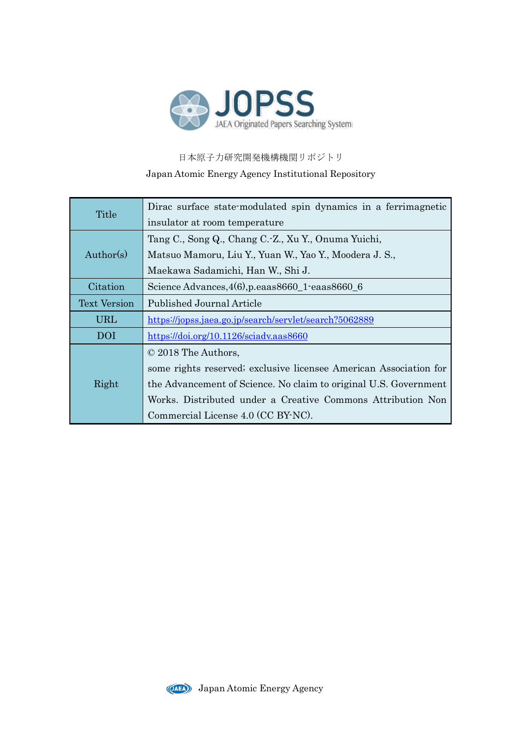

日本原子力研究開発機構機関リポジトリ Japan Atomic Energy Agency Institutional Repository

| Title               | Dirac surface state-modulated spin dynamics in a ferrimagnetic    |
|---------------------|-------------------------------------------------------------------|
|                     | insulator at room temperature                                     |
| Author(s)           | Tang C., Song Q., Chang C.-Z., Xu Y., Onuma Yuichi,               |
|                     | Matsuo Mamoru, Liu Y., Yuan W., Yao Y., Moodera J. S.,            |
|                     | Maekawa Sadamichi, Han W., Shi J.                                 |
| Citation            | Science Advances, 4(6), p.eaas8660_1-eaas8660_6                   |
| <b>Text Version</b> | Published Journal Article                                         |
| <b>URL</b>          | https://jopss.jaea.go.jp/search/servlet/search?5062889            |
| DOI                 | $\frac{\text{https://doi.org/10.1126/socialv.aas8660}}{$          |
| Right               | © 2018 The Authors,                                               |
|                     | some rights reserved; exclusive licensee American Association for |
|                     | the Advancement of Science. No claim to original U.S. Government  |
|                     | Works. Distributed under a Creative Commons Attribution Non       |
|                     | Commercial License 4.0 (CC BY-NC).                                |

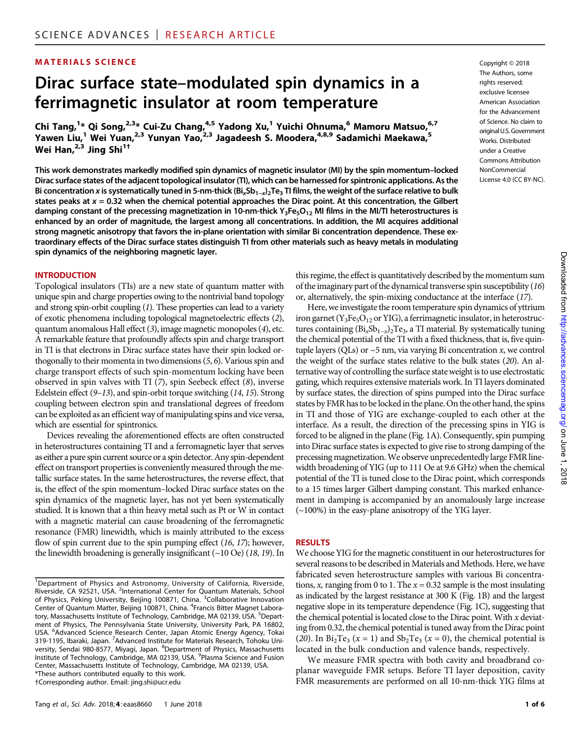# MATERIALS SCIENCE Copyright © 2018

# Dirac surface state–modulated spin dynamics in a ferrimagnetic insulator at room temperature

Chi Tang,<sup>1</sup>\* Qi Song,<sup>2,3</sup>\* Cui-Zu Chang,<sup>4,5</sup> Yadong Xu,<sup>1</sup> Yuichi Ohnuma,<sup>6</sup> Mamoru Matsuo,<sup>6,7</sup> Yawen Liu,<sup>1</sup> Wei Yuan,<sup>2,3</sup> Yunyan Yao,<sup>2,3</sup> Jagadeesh S. Moodera,<sup>4,8,9</sup> Sadamichi Maekawa,<sup>5</sup> Wei Han, $^{2,3}$  Jing Shi<sup>1†</sup>

This work demonstrates markedly modified spin dynamics of magnetic insulator (MI) by the spin momentum–locked Dirac surface states of the adjacent topological insulator (TI), which can be harnessed for spintronic applications. As the Bi concentration x is systematically tuned in 5-nm-thick (Bi<sub>x</sub>Sb<sub>1-x</sub>)<sub>2</sub>Te<sub>3</sub> TI films, the weight of the surface relative to bulk states peaks at  $x = 0.32$  when the chemical potential approaches the Dirac point. At this concentration, the Gilbert damping constant of the precessing magnetization in 10-nm-thick Y<sub>3</sub>Fe<sub>5</sub>O<sub>12</sub> MI films in the MI/TI heterostructures is enhanced by an order of magnitude, the largest among all concentrations. In addition, the MI acquires additional strong magnetic anisotropy that favors the in-plane orientation with similar Bi concentration dependence. These extraordinary effects of the Dirac surface states distinguish TI from other materials such as heavy metals in modulating spin dynamics of the neighboring magnetic layer.

#### INTRODUCTION

Topological insulators (TIs) are a new state of quantum matter with unique spin and charge properties owing to the nontrivial band topology and strong spin-orbit coupling (1). These properties can lead to a variety of exotic phenomena including topological magnetoelectric effects (2), quantum anomalous Hall effect (3), image magnetic monopoles (4), etc. A remarkable feature that profoundly affects spin and charge transport in TI is that electrons in Dirac surface states have their spin locked orthogonally to their momenta in two dimensions (5, 6). Various spin and charge transport effects of such spin-momentum locking have been observed in spin valves with TI  $(7)$ , spin Seebeck effect  $(8)$ , inverse Edelstein effect (9–13), and spin-orbit torque switching (14, 15). Strong coupling between electron spin and translational degrees of freedom can be exploited as an efficient way of manipulating spins and vice versa, which are essential for spintronics.

Devices revealing the aforementioned effects are often constructed in heterostructures containing TI and a ferromagnetic layer that serves as either a pure spin current source or a spin detector. Any spin-dependent effect on transport properties is conveniently measured through the metallic surface states. In the same heterostructures, the reverse effect, that is, the effect of the spin momentum–locked Dirac surface states on the spin dynamics of the magnetic layer, has not yet been systematically studied. It is known that a thin heavy metal such as Pt or W in contact with a magnetic material can cause broadening of the ferromagnetic resonance (FMR) linewidth, which is mainly attributed to the excess flow of spin current due to the spin pumping effect (16, 17); however, the linewidth broadening is generally insignificant (~10 Oe) (18, 19). In

The Authors, some rights reserved; exclusive licensee American Association for the Advancement of Science. No claim to original U.S. Government Works. Distributed under a Creative Commons Attribution NonCommercial License 4.0 (CC BY-NC).

this regime, the effect is quantitatively described by the momentum sum of the imaginary part of the dynamical transverse spin susceptibility (16) or, alternatively, the spin-mixing conductance at the interface (17).

Here, we investigate the room temperature spin dynamics of yttrium iron garnet ( $Y_3Fe_5O_{12}$  or YIG), a ferrimagnetic insulator, in heterostructures containing  $\left(\frac{Bi_xSb_{1-x}}{2Te_3}, a\right)$  material. By systematically tuning the chemical potential of the TI with a fixed thickness, that is, five quintuple layers (QLs) or  $\sim$  5 nm, via varying Bi concentration  $x$ , we control the weight of the surface states relative to the bulk states (20). An alternative way of controlling the surface state weight is to use electrostatic gating, which requires extensive materials work. In TI layers dominated by surface states, the direction of spins pumped into the Dirac surface states by FMR has to be locked in the plane. On the other hand, the spins in TI and those of YIG are exchange-coupled to each other at the interface. As a result, the direction of the precessing spins in YIG is forced to be aligned in the plane (Fig. 1A). Consequently, spin pumping into Dirac surface states is expected to give rise to strong damping of the precessing magnetization.We observe unprecedentedly large FMR linewidth broadening of YIG (up to 111 Oe at 9.6 GHz) when the chemical potential of the TI is tuned close to the Dirac point, which corresponds to a 15 times larger Gilbert damping constant. This marked enhancement in damping is accompanied by an anomalously large increase (~100%) in the easy-plane anisotropy of the YIG layer.

#### RESULTS

We choose YIG for the magnetic constituent in our heterostructures for several reasons to be described in Materials and Methods. Here, we have fabricated seven heterostructure samples with various Bi concentrations, x, ranging from 0 to 1. The  $x = 0.32$  sample is the most insulating as indicated by the largest resistance at 300 K (Fig. 1B) and the largest negative slope in its temperature dependence (Fig. 1C), suggesting that the chemical potential is located close to the Dirac point. With  $x$  deviating from 0.32, the chemical potential is tuned away from the Dirac point (20). In  $Bi_2Te_3$  (x = 1) and  $Sb_2Te_3$  (x = 0), the chemical potential is located in the bulk conduction and valence bands, respectively.

We measure FMR spectra with both cavity and broadbrand coplanar waveguide FMR setups. Before TI layer deposition, cavity FMR measurements are performed on all 10-nm-thick YIG films at

<sup>&</sup>lt;sup>1</sup>Department of Physics and Astronomy, University of California, Riverside, Riverside, CA 92521, USA. <sup>2</sup>International Center for Quantum Materials, School of Physics, Peking University, Beijing 100871, China. <sup>3</sup>Collaborative Innovation Center of Quantum Matter, Beijing 100871, China. <sup>4</sup>Francis Bitter Magnet Laboratory, Massachusetts Institute of Technology, Cambridge, MA 02139, USA. <sup>5</sup>Department of Physics, The Pennsylvania State University, University Park, PA 16802, USA. <sup>6</sup> Advanced Science Research Center, Japan Atomic Energy Agency, Tokai 319-1195, Ibaraki, Japan. <sup>7</sup> Advanced Institute for Materials Research, Tohoku University, Sendai 980-8577, Miyagi, Japan. <sup>8</sup>Department of Physics, Massachusetts Institute of Technology, Cambridge, MA 02139, USA. <sup>9</sup>Plasma Science and Fusion Center, Massachusetts Institute of Technology, Cambridge, MA 02139, USA. \*These authors contributed equally to this work. †Corresponding author. Email: jing.shi@ucr.edu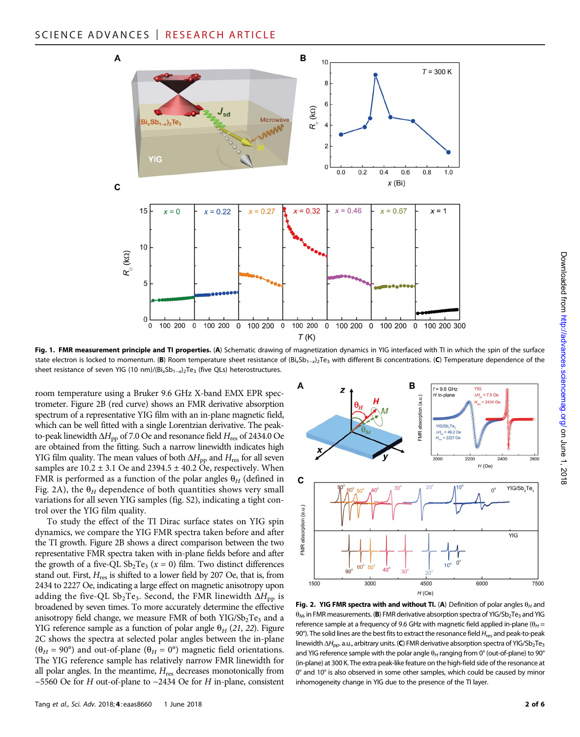

Fig. 1. FMR measurement principle and TI properties. (A) Schematic drawing of magnetization dynamics in YIG interfaced with TI in which the spin of the surface state electron is locked to momentum. (B) Room temperature sheet resistance of  $(Bi_xSb_{1-x})_2Te_3$  with different Bi concentrations. (C) Temperature dependence of the sheet resistance of seven YIG (10 nm)/(Bi<sub>x</sub>Sb<sub>1-x</sub>)<sub>2</sub>Te<sub>3</sub> (five QLs) heterostructures.

room temperature using a Bruker 9.6 GHz X-band EMX EPR spectrometer. Figure 2B (red curve) shows an FMR derivative absorption spectrum of a representative YIG film with an in-plane magnetic field, which can be well fitted with a single Lorentzian derivative. The peakto-peak linewidth  $\Delta H_{\text{pp}}$  of 7.0 Oe and resonance field  $H_{\text{res}}$  of 2434.0 Oe are obtained from the fitting. Such a narrow linewidth indicates high YIG film quality. The mean values of both  $\Delta H_{\rm pp}$  and  $H_{\rm res}$  for all seven samples are  $10.2 \pm 3.1$  Oe and  $2394.5 \pm 40.2$  Oe, respectively. When FMR is performed as a function of the polar angles  $\theta_H$  (defined in Fig. 2A), the  $\theta_H$  dependence of both quantities shows very small variations for all seven YIG samples (fig. S2), indicating a tight control over the YIG film quality.

To study the effect of the TI Dirac surface states on YIG spin dynamics, we compare the YIG FMR spectra taken before and after the TI growth. Figure 2B shows a direct comparison between the two representative FMR spectra taken with in-plane fields before and after the growth of a five-QL  $Sb_2Te_3$  ( $x = 0$ ) film. Two distinct differences stand out. First,  $H_{res}$  is shifted to a lower field by 207 Oe, that is, from 2434 to 2227 Oe, indicating a large effect on magnetic anisotropy upon adding the five-QL  $\text{Sb}_2 \text{Te}_3$ . Second, the FMR linewidth  $\Delta H_{\text{pp}}$  is broadened by seven times. To more accurately determine the effective anisotropy field change, we measure FMR of both  $YIG/Sp_2Te_3$  and a YIG reference sample as a function of polar angle  $\theta_H$  (21, 22). Figure 2C shows the spectra at selected polar angles between the in-plane  $(\theta_H = 90^\circ)$  and out-of-plane  $(\theta_H = 0^\circ)$  magnetic field orientations. The YIG reference sample has relatively narrow FMR linewidth for all polar angles. In the meantime,  $H_{\text{res}}$  decreases monotonically from ~5560 Oe for H out-of-plane to ~2434 Oe for H in-plane, consistent



Fig. 2. YIG FMR spectra with and without TI. (A) Definition of polar angles  $\theta_H$  and  $\theta_M$ , in FMR measurements. (B) FMR derivative absorption spectra of YIG/Sb<sub>2</sub>Te<sub>3</sub> and YIG reference sample at a frequency of 9.6 GHz with magnetic field applied in-plane ( $\theta_H$  = 90°). The solid lines are the best fits to extract the resonance field  $H_{res}$  and peak-to-peak linewidth  $\Delta H_{\text{DD}}$ . a.u., arbitrary units. (C) FMR derivative absorption spectra of YIG/Sb<sub>2</sub>Te<sub>3</sub> and YIG reference sample with the polar angle  $\theta_H$  ranging from 0° (out-of-plane) to 90° (in-plane) at 300 K. The extra peak-like feature on the high-field side of the resonance at 0° and 10° is also observed in some other samples, which could be caused by minor inhomogeneity change in YIG due to the presence of the TI layer.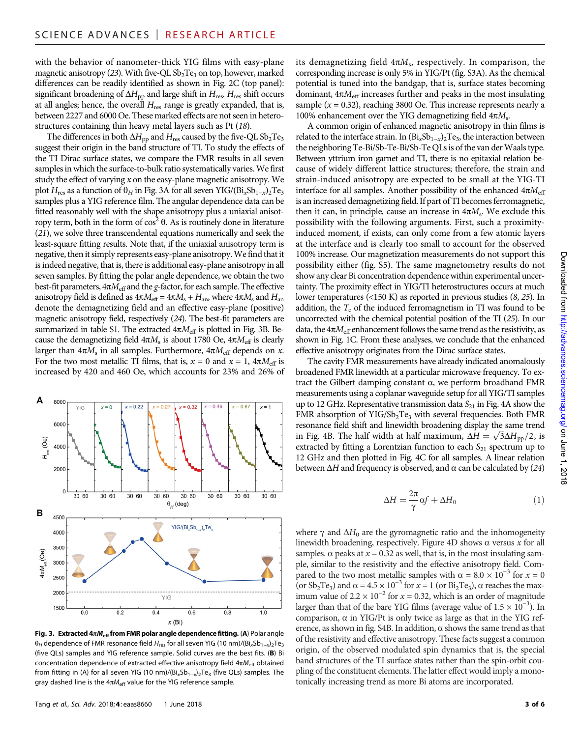with the behavior of nanometer-thick YIG films with easy-plane magnetic anisotropy (23). With five-QL  $Sb<sub>2</sub>Te<sub>3</sub>$  on top, however, marked differences can be readily identified as shown in Fig. 2C (top panel): significant broadening of  $\Delta H_{\rm pp}$  and large shift in  $H_{\rm res}$ .  $H_{\rm res}$  shift occurs at all angles; hence, the overall  $H_{\text{res}}$  range is greatly expanded, that is, between 2227 and 6000 Oe. These marked effects are not seen in heterostructures containing thin heavy metal layers such as Pt (18).

The differences in both  $\Delta H_{\rm pp}$  and  $H_{\rm res}$  caused by the five-QL Sb<sub>2</sub>Te<sub>3</sub> suggest their origin in the band structure of TI. To study the effects of the TI Dirac surface states, we compare the FMR results in all seven samples in which the surface-to-bulk ratio systematically varies. We first study the effect of varying  $x$  on the easy-plane magnetic anisotropy. We plot  $H_{res}$  as a function of  $\theta_H$  in Fig. 3A for all seven YIG/(Bi<sub>x</sub>Sb<sub>1-x</sub>)<sub>2</sub>Te<sub>3</sub> samples plus a YIG reference film. The angular dependence data can be fitted reasonably well with the shape anisotropy plus a uniaxial anisotropy term, both in the form of  $\cos^2 \theta$ . As is routinely done in literature (21), we solve three transcendental equations numerically and seek the least-square fitting results. Note that, if the uniaxial anisotropy term is negative, then it simply represents easy-plane anisotropy.We find that it is indeed negative, that is, there is additional easy-plane anisotropy in all seven samples. By fitting the polar angle dependence, we obtain the two best-fit parameters,  $4\pi M_{\text{eff}}$  and the g-factor, for each sample. The effective anisotropy field is defined as  $4\pi M_{\text{eff}} = 4\pi M_s + H_{\text{an}}$ , where  $4\pi M_s$  and  $H_{\text{an}}$ denote the demagnetizing field and an effective easy-plane (positive) magnetic anisotropy field, respectively (24). The best-fit parameters are summarized in table S1. The extracted  $4\pi M_{\text{eff}}$  is plotted in Fig. 3B. Because the demagnetizing field  $4\pi M_s$  is about 1780 Oe,  $4\pi M_{\text{eff}}$  is clearly larger than  $4\pi M_s$  in all samples. Furthermore,  $4\pi M_{\text{eff}}$  depends on x. For the two most metallic TI films, that is,  $x = 0$  and  $x = 1$ ,  $4\pi M_{\text{eff}}$  is increased by 420 and 460 Oe, which accounts for 23% and 26% of



Fig. 3. Extracted  $4\pi M_{\text{eff}}$  from FMR polar angle dependence fitting. (A) Polar angle  $\theta_H$  dependence of FMR resonance field  $H_{res}$  for all seven YIG (10 nm)/(Bi<sub>x</sub>Sb<sub>1-x</sub>)<sub>2</sub>Te<sub>3</sub> (five QLs) samples and YIG reference sample. Solid curves are the best fits. (B) Bi concentration dependence of extracted effective anisotropy field  $4\pi M_{\text{eff}}$  obtained from fitting in (A) for all seven YIG (10 nm)/(Bi<sub>x</sub>Sb<sub>1-x</sub>)<sub>2</sub>Te<sub>3</sub> (five QLs) samples. The gray dashed line is the  $4\pi M_{\text{eff}}$  value for the YIG reference sample.

its demagnetizing field  $4\pi M_s$ , respectively. In comparison, the corresponding increase is only 5% in YIG/Pt (fig. S3A). As the chemical potential is tuned into the bandgap, that is, surface states becoming dominant,  $4\pi M_{\text{eff}}$  increases further and peaks in the most insulating sample ( $x = 0.32$ ), reaching 3800 Oe. This increase represents nearly a 100% enhancement over the YIG demagnetizing field  $4\pi M_s$ .

A common origin of enhanced magnetic anisotropy in thin films is related to the interface strain. In  $(Bi_xSb_{1-x})_2Te_3$ , the interaction between the neighboring Te-Bi/Sb-Te-Bi/Sb-Te QLs is of the van der Waals type. Between yttrium iron garnet and TI, there is no epitaxial relation because of widely different lattice structures; therefore, the strain and strain-induced anisotropy are expected to be small at the YIG-TI interface for all samples. Another possibility of the enhanced  $4\pi M_{\text{eff}}$ is an increased demagnetizing field. If part of TI becomes ferromagnetic, then it can, in principle, cause an increase in  $4\pi M_s$ . We exclude this possibility with the following arguments. First, such a proximityinduced moment, if exists, can only come from a few atomic layers at the interface and is clearly too small to account for the observed 100% increase. Our magnetization measurements do not support this possibility either (fig. S5). The same magnetometry results do not show any clear Bi concentration dependence within experimental uncertainty. The proximity effect in YIG/TI heterostructures occurs at much lower temperatures (<150 K) as reported in previous studies (8, 25). In addition, the  $T_c$  of the induced ferromagnetism in TI was found to be uncorrected with the chemical potential position of the TI (25). In our data, the  $4\pi M_{\text{eff}}$  enhancement follows the same trend as the resistivity, as shown in Fig. 1C. From these analyses, we conclude that the enhanced effective anisotropy originates from the Dirac surface states.

The cavity FMR measurements have already indicated anomalously broadened FMR linewidth at a particular microwave frequency. To extract the Gilbert damping constant  $\alpha$ , we perform broadband FMR measurements using a coplanar waveguide setup for all YIG/TI samples up to 12 GHz. Representative transmission data  $S_{21}$  in Fig. 4A show the FMR absorption of YIG/Sb<sub>2</sub>Te<sub>3</sub> with several frequencies. Both FMR resonance field shift and linewidth broadening display the same trend resonance field shift and linewidth broadening display the same trend<br>in Fig. 4B. The half width at half maximum,  $\Delta H = \sqrt{3} \Delta H_{\rm pp}/2$ , is<br>extracted by fitting a Lorentzian function to each So, spectrum up to extracted by fitting a Lorentzian function to each  $S_{21}$  spectrum up to 12 GHz and then plotted in Fig. 4C for all samples. A linear relation between  $\Delta H$  and frequency is observed, and  $\alpha$  can be calculated by (24)

$$
\Delta H = \frac{2\pi}{\gamma} \alpha f + \Delta H_0 \tag{1}
$$

where  $\gamma$  and  $\Delta H_0$  are the gyromagnetic ratio and the inhomogeneity linewidth broadening, respectively. Figure 4D shows  $\alpha$  versus  $x$  for all samples.  $\alpha$  peaks at  $x = 0.32$  as well, that is, in the most insulating sample, similar to the resistivity and the effective anisotropy field. Compared to the two most metallic samples with  $\alpha = 8.0 \times 10^{-3}$  for  $x = 0$ <br>(or Sb-Te-) and  $\alpha = 4.5 \times 10^{-3}$  for  $x = 1$  (or Bi-Te-),  $\alpha$  reaches the max-(or  $\text{Sp}_2\text{Te}_3$ ) and  $\alpha = 4.5 \times 10^{-3}$  for  $x = 1$  (or  $\text{Bi}_2\text{Te}_3$ ),  $\alpha$  reaches the max-<br>imum value of  $2.2 \times 10^{-2}$  for  $x = 0.32$  which is an order of magnitude imum value of  $2.2 \times 10^{-2}$  for  $x = 0.32$ , which is an order of magnitude larger than that of the bare YIG films (average value of  $1.5 \times 10^{-3}$ ). In comparison,  $\alpha$  in YIG/Pt is only twice as large as that in the YIG reference, as shown in fig. S4B. In addition,  $\alpha$  shows the same trend as that of the resistivity and effective anisotropy. These facts suggest a common origin, of the observed modulated spin dynamics that is, the special band structures of the TI surface states rather than the spin-orbit coupling of the constituent elements. The latter effect would imply a monotonically increasing trend as more Bi atoms are incorporated.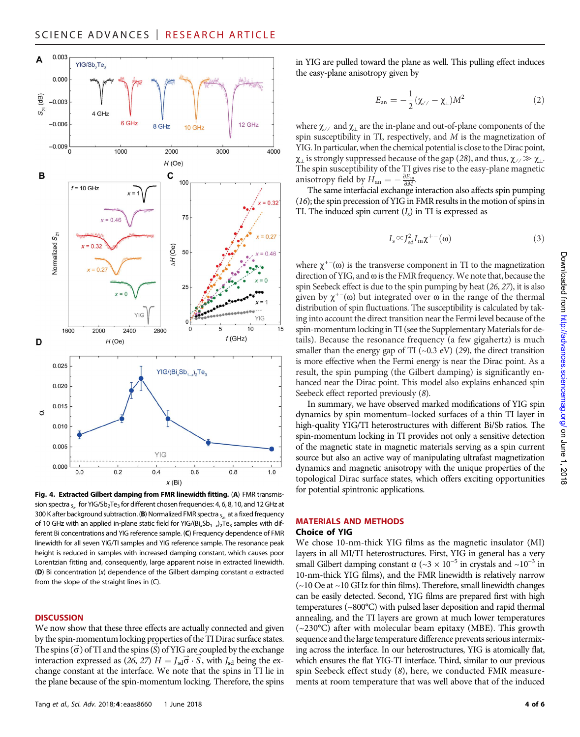

Fig. 4. Extracted Gilbert damping from FMR linewidth fitting. (A) FMR transmission spectra  $_{51}$  for YIG/Sb<sub>2</sub>Te<sub>3</sub> for different chosen frequencies: 4, 6, 8, 10, and 12 GHz at 300 K after background subtraction. (B) Normalized FMR spectra  $_{5,1}$  at a fixed frequency of 10 GHz with an applied in-plane static field for YIG/(Bi<sub>x</sub>Sb<sub>1-x</sub>)<sub>2</sub>Te<sub>3</sub> samples with different Bi concentrations and YIG reference sample. (C) Frequency dependence of FMR linewidth for all seven YIG/TI samples and YIG reference sample. The resonance peak height is reduced in samples with increased damping constant, which causes poor Lorentzian fitting and, consequently, large apparent noise in extracted linewidth. (D) Bi concentration (x) dependence of the Gilbert damping constant  $\alpha$  extracted from the slope of the straight lines in (C).

#### **DISCUSSION**

We now show that these three effects are actually connected and given by the spin-momentum locking properties of the TI Dirac surface states. The spins  $(\vec{\sigma})$  of TI and the spins  $(\vec{\delta})$  of YIG are coupled by the exchange<br>interaction expressed as (26, 27)  $H = I_1 \vec{\sigma}$ ,  $\vec{\delta}$ , with L, being the exinteraction expressed as  $(26, 27)$   $H = J_{sd}\vec{\sigma} \cdot \vec{S}$ , with  $J_{sd}$  being the ex-<br>change constant at the interface. We note that the spins in TI lie in change constant at the interface. We note that the spins in TI lie in the plane because of the spin-momentum locking. Therefore, the spins in YIG are pulled toward the plane as well. This pulling effect induces the easy-plane anisotropy given by

$$
E_{\rm an} = -\frac{1}{2}(\chi_{\!/\!} - \chi_{\perp})M^2 \tag{2}
$$

where  $\chi$  ⁄ and  $\chi_{\perp}$  are the in-plane and out-of-plane components of the spin susceptibility in TI, respectively, and  $M$  is the magnetization of YIG. In particular, when the chemical potential is close to the Dirac point,  $\chi_{\perp}$  is strongly suppressed because of the gap (28), and thus,  $\chi_{\perp} \gg \chi_{\perp}$ . The spin susceptibility of the TI gives rise to the easy-plane magnetic anisotropy field by  $\vec{H}_{\text{an}} = -\frac{\partial E_{\text{an}}}{\partial M}$ .<br>The same interfacial exchange

The same interfacial exchange interaction also affects spin pumping (16); the spin precession of YIG in FMR results in the motion of spins in TI. The induced spin current  $(I_s)$  in TI is expressed as

$$
I_s \! \propto \! J_{sd}^2 I_m \chi^{+-}(\omega) \tag{3}
$$

where  $\chi^{+-}(\omega)$  is the transverse component in TI to the magnetization direction of YIG and  $\omega$  is the EMR frequency. We note that because the direction of YIG, and  $\omega$  is the FMR frequency. We note that, because the spin Seebeck effect is due to the spin pumping by heat (26, 27), it is also given by  $\chi^{+-}(\omega)$  but integrated over  $\omega$  in the range of the thermal<br>distribution of spin fluctuations. The susceptibility is calculated by takdistribution of spin fluctuations. The susceptibility is calculated by taking into account the direct transition near the Fermi level because of the spin-momentum locking in TI (see the Supplementary Materials for details). Because the resonance frequency (a few gigahertz) is much smaller than the energy gap of TI  $(\sim 0.3 \text{ eV})$  (29), the direct transition is more effective when the Fermi energy is near the Dirac point. As a result, the spin pumping (the Gilbert damping) is significantly enhanced near the Dirac point. This model also explains enhanced spin Seebeck effect reported previously (8).

In summary, we have observed marked modifications of YIG spin dynamics by spin momentum–locked surfaces of a thin TI layer in high-quality YIG/TI heterostructures with different Bi/Sb ratios. The spin-momentum locking in TI provides not only a sensitive detection of the magnetic state in magnetic materials serving as a spin current source but also an active way of manipulating ultrafast magnetization dynamics and magnetic anisotropy with the unique properties of the topological Dirac surface states, which offers exciting opportunities for potential spintronic applications.

#### MATERIALS AND METHODS

#### Choice of YIG

We chose 10-nm-thick YIG films as the magnetic insulator (MI) layers in all MI/TI heterostructures. First, YIG in general has a very small Gilbert damping constant  $\alpha$  (~3 × 10<sup>-5</sup> in crystals and ~10<sup>-3</sup> in 10-nm-thick YIG films), and the FMR linewidth is relatively narrow (~10 Oe at ~10 GHz for thin films). Therefore, small linewidth changes can be easily detected. Second, YIG films are prepared first with high temperatures (~800°C) with pulsed laser deposition and rapid thermal annealing, and the TI layers are grown at much lower temperatures (~230°C) after with molecular beam epitaxy (MBE). This growth sequence and the large temperature difference prevents serious intermixing across the interface. In our heterostructures, YIG is atomically flat, which ensures the flat YIG-TI interface. Third, similar to our previous spin Seebeck effect study (8), here, we conducted FMR measurements at room temperature that was well above that of the induced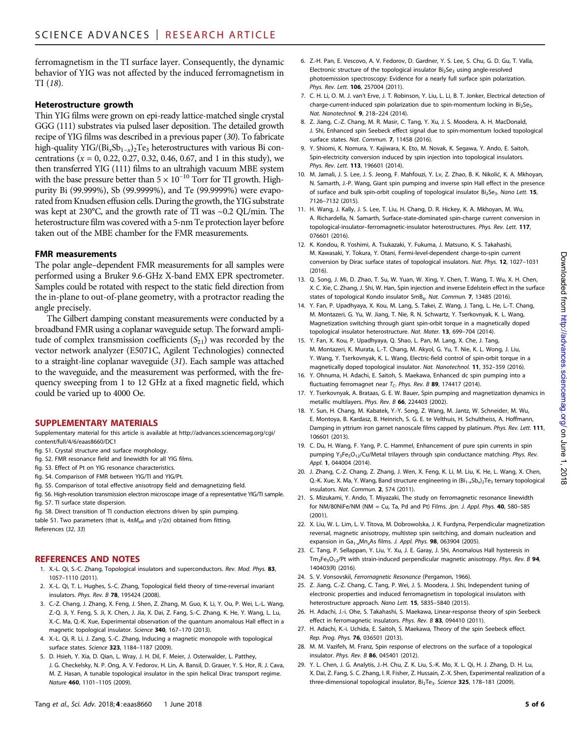ferromagnetism in the TI surface layer. Consequently, the dynamic behavior of YIG was not affected by the induced ferromagnetism in TI (18).

## Heterostructure growth

Thin YIG films were grown on epi-ready lattice-matched single crystal GGG (111) substrates via pulsed laser deposition. The detailed growth recipe of YIG films was described in a previous paper (30). To fabricate high-quality YIG/(Bi<sub>x</sub>Sb<sub>1-x</sub>)<sub>2</sub>Te<sub>3</sub> heterostructures with various Bi concentrations ( $x = 0$ , 0.22, 0.27, 0.32, 0.46, 0.67, and 1 in this study), we then transferred YIG (111) films to an ultrahigh vacuum MBE system with the base pressure better than  $5 \times 10^{-10}$  Torr for TI growth. Highpurity Bi (99.999%), Sb (99.9999%), and Te (99.9999%) were evaporated from Knudsen effusion cells. During the growth, the YIG substrate was kept at 230°C, and the growth rate of TI was ~0.2 QL/min. The heterostructure film was covered with a 5-nm Te protection layer before taken out of the MBE chamber for the FMR measurements.

## FMR measurements

The polar angle–dependent FMR measurements for all samples were performed using a Bruker 9.6-GHz X-band EMX EPR spectrometer. Samples could be rotated with respect to the static field direction from the in-plane to out-of-plane geometry, with a protractor reading the angle precisely.

The Gilbert damping constant measurements were conducted by a broadband FMR using a coplanar waveguide setup. The forward amplitude of complex transmission coefficients  $(S_{21})$  was recorded by the vector network analyzer (E5071C, Agilent Technologies) connected to a straight-line coplanar waveguide (31). Each sample was attached to the waveguide, and the measurement was performed, with the frequency sweeping from 1 to 12 GHz at a fixed magnetic field, which could be varied up to 4000 Oe.

## SUPPLEMENTARY MATERIALS

Supplementary material for this article is available at [http://advances.sciencemag.org/cgi/](http://advances.sciencemag.org/cgi/content/full/4/6/eaas8660/DC1) [content/full/4/6/eaas8660/DC1](http://advances.sciencemag.org/cgi/content/full/4/6/eaas8660/DC1)

- fig. S1. Crystal structure and surface morphology.
- fig. S2. FMR resonance field and linewidth for all YIG films.
- fig. S3. Effect of Pt on YIG resonance characteristics.
- fig. S4. Comparison of FMR between YIG/TI and YIG/Pt.
- fig. S5. Comparison of total effective anisotropy field and demagnetizing field.
- fig. S6. High-resolution transmission electron microscope image of a representative YIG/TI sample.
- fig. S7. TI surface state dispersion.
- fig. S8. Direct transition of TI conduction electrons driven by spin pumping.

table S1. Two parameters (that is,  $4\pi M_{\text{eff}}$  and  $\gamma/2\pi$ ) obtained from fitting. References (32, 33)

# REFERENCES AND NOTES

- 1. X.-L. Qi, S.-C. Zhang, Topological insulators and superconductors. Rev. Mod. Phys. 83, 1057–1110 (2011).
- 2. X.-L. Qi, T. L. Hughes, S.-C. Zhang, Topological field theory of time-reversal invariant insulators. Phys. Rev. B 78, 195424 (2008).
- 3. C.-Z. Chang, J. Zhang, X. Feng, J. Shen, Z. Zhang, M. Guo, K. Li, Y. Ou, P. Wei, L.-L. Wang, Z.-Q. Ji, Y. Feng, S. Ji, X. Chen, J. Jia, X. Dai, Z. Fang, S.-C. Zhang, K. He, Y. Wang, L. Lu, X.-C. Ma, Q.-K. Xue, Experimental observation of the quantum anomalous Hall effect in a magnetic topological insulator. Science 340, 167–170 (2013).
- 4. X.-L. Qi, R. Li, J. Zang, S.-C. Zhang, Inducing a magnetic monopole with topological surface states. Science 323, 1184–1187 (2009).
- 5. D. Hsieh, Y. Xia, D. Qian, L. Wray, J. H. Dil, F. Meier, J. Osterwalder, L. Patthey, J. G. Checkelsky, N. P. Ong, A. V. Fedorov, H. Lin, A. Bansil, D. Grauer, Y. S. Hor, R. J. Cava, M. Z. Hasan, A tunable topological insulator in the spin helical Dirac transport regime. Nature 460, 1101–1105 (2009).
- 6. Z.-H. Pan, E. Vescovo, A. V. Fedorov, D. Gardner, Y. S. Lee, S. Chu, G. D. Gu, T. Valla, Electronic structure of the topological insulator  $BisSe_3$  using angle-resolved photoemission spectroscopy: Evidence for a nearly full surface spin polarization. Phys. Rev. Lett. 106, 257004 (2011).
- 7. C. H. Li, O. M. J. van't Erve, J. T. Robinson, Y. Liu, L. Li, B. T. Jonker, Electrical detection of charge-current-induced spin polarization due to spin-momentum locking in Bi<sub>2</sub>Se<sub>3</sub>. Nat. Nanotechnol. 9, 218–224 (2014).
- 8. Z. Jiang, C.-Z. Chang, M. R. Masir, C. Tang, Y. Xu, J. S. Moodera, A. H. MacDonald, J. Shi, Enhanced spin Seebeck effect signal due to spin-momentum locked topological surface states. Nat. Commun. 7, 11458 (2016).
- 9. Y. Shiomi, K. Nomura, Y. Kajiwara, K. Eto, M. Novak, K. Segawa, Y. Ando, E. Saitoh, Spin-electricity conversion induced by spin injection into topological insulators. Phys. Rev. Lett. 113, 196601 (2014).
- 10. M. Jamali, J. S. Lee, J. S. Jeong, F. Mahfouzi, Y. Lv, Z. Zhao, B. K. Nikolić, K. A. Mkhoyan, N. Samarth, J.-P. Wang, Giant spin pumping and inverse spin Hall effect in the presence of surface and bulk spin-orbit coupling of topological insulator  $Bi_2Se_3$ . Nano Lett. 15, 7126–7132 (2015).
- 11. H. Wang, J. Kally, J. S. Lee, T. Liu, H. Chang, D. R. Hickey, K. A. Mkhoyan, M. Wu, A. Richardella, N. Samarth, Surface-state-dominated spin-charge current conversion in topological-insulator–ferromagnetic-insulator heterostructures. Phys. Rev. Lett. 117, 076601 (2016).
- 12. K. Kondou, R. Yoshimi, A. Tsukazaki, Y. Fukuma, J. Matsuno, K. S. Takahashi, M. Kawasaki, Y. Tokura, Y. Otani, Fermi-level-dependent charge-to-spin current conversion by Dirac surface states of topological insulators. Nat. Phys. 12, 1027–1031  $(2016)$
- 13. Q. Song, J. Mi, D. Zhao, T. Su, W. Yuan, W. Xing, Y. Chen, T. Wang, T. Wu, X. H. Chen, X. C. Xie, C. Zhang, J. Shi, W. Han, Spin injection and inverse Edelstein effect in the surface states of topological Kondo insulator SmB<sub>6</sub>. Nat. Commun. 7, 13485 (2016).
- 14. Y. Fan, P. Upadhyaya, X. Kou, M. Lang, S. Takei, Z. Wang, J. Tang, L. He, L.-T. Chang, M. Montazeri, G. Yu, W. Jiang, T. Nie, R. N. Schwartz, Y. Tserkovnyak, K. L. Wang, Magnetization switching through giant spin-orbit torque in a magnetically doped topological insulator heterostructure. Nat. Mater. 13, 699–704 (2014).
- 15. Y. Fan, X. Kou, P. Upadhyaya, Q. Shao, L. Pan, M. Lang, X. Che, J. Tang, M. Montazeri, K. Murata, L.-T. Chang, M. Akyol, G. Yu, T. Nie, K. L. Wong, J. Liu, Y. Wang, Y. Tserkovnyak, K. L. Wang, Electric-field control of spin-orbit torque in a magnetically doped topological insulator. Nat. Nanotechnol. 11, 352–359 (2016).
- 16. Y. Ohnuma, H. Adachi, E. Saitoh, S. Maekawa, Enhanced dc spin pumping into a fluctuating ferromagnet near  $T_C$ . Phys. Rev. B 89, 174417 (2014).
- 17. Y. Tserkovnyak, A. Brataas, G. E. W. Bauer, Spin pumping and magnetization dynamics in metallic multilayers. Phys. Rev. B 66, 224403 (2002).
- 18. Y. Sun, H. Chang, M. Kabatek, Y.-Y. Song, Z. Wang, M. Jantz, W. Schneider, M. Wu, E. Montoya, B. Kardasz, B. Heinrich, S. G. E. te Velthuis, H. Schultheiss, A. Hoffmann, Damping in yttrium iron garnet nanoscale films capped by platinum. Phys. Rev. Lett. 111, 106601 (2013).
- 19. C. Du, H. Wang, F. Yang, P. C. Hammel, Enhancement of pure spin currents in spin pumping Y<sub>3</sub>Fe<sub>5</sub>O<sub>12</sub>/Cu/Metal trilayers through spin conductance matching. Phys. Rev. Appl. 1, 044004 (2014).
- 20. J. Zhang, C.-Z. Chang, Z. Zhang, J. Wen, X. Feng, K. Li, M. Liu, K. He, L. Wang, X. Chen, Q.-K. Xue, X. Ma, Y. Wang, Band structure engineering in  $(Bi_{1-x}Sb_x)_2Te_3$  ternary topological insulators. Nat. Commun. 2, 574 (2011).
- 21. S. Mizukami, Y. Ando, T. Miyazaki, The study on ferromagnetic resonance linewidth for NM/80NiFe/NM (NM = Cu, Ta, Pd and Pt) Films. Jpn. J. Appl. Phys.  $40$ , 580-585 (2001).
- 22. X. Liu, W. L. Lim, L. V. Titova, M. Dobrowolska, J. K. Furdyna, Perpendicular magnetization reversal, magnetic anisotropy, multistep spin switching, and domain nucleation and expansion in  $Ga_{1-x}Mn_xAs$  films. J. Appl. Phys. 98, 063904 (2005).
- 23. C. Tang, P. Sellappan, Y. Liu, Y. Xu, J. E. Garay, J. Shi, Anomalous Hall hysteresis in  $Tm_3Fe_5O_{12}/Pt$  with strain-induced perpendicular magnetic anisotropy. Phys. Rev. B 94, 140403(R) (2016).
- 24. S. V. Vonsovskiĭ, Ferromagnetic Resonance (Pergamon, 1966).
- 25. Z. Jiang, C.-Z. Chang, C. Tang, P. Wei, J. S. Moodera, J. Shi, Independent tuning of electronic properties and induced ferromagnetism in topological insulators with heterostructure approach. Nano Lett. 15, 5835–5840 (2015).
- 26. H. Adachi, J.-i. Ohe, S. Takahashi, S. Maekawa, Linear-response theory of spin Seebeck effect in ferromagnetic insulators. Phys. Rev. B 83, 094410 (2011).
- 27. H. Adachi, K.-i. Uchida, E. Saitoh, S. Maekawa, Theory of the spin Seebeck effect. Rep. Prog. Phys. 76, 036501 (2013).
- 28. M. M. Vazifeh, M. Franz, Spin response of electrons on the surface of a topological insulator. Phys. Rev. B 86, 045401 (2012).
- 29. Y. L. Chen, J. G. Analytis, J.-H. Chu, Z. K. Liu, S.-K. Mo, X. L. Qi, H. J. Zhang, D. H. Lu, X. Dai, Z. Fang, S. C. Zhang, I. R. Fisher, Z. Hussain, Z.-X. Shen, Experimental realization of a three-dimensional topological insulator, Bi<sub>2</sub>Te<sub>3</sub>. Science 325, 178-181 (2009).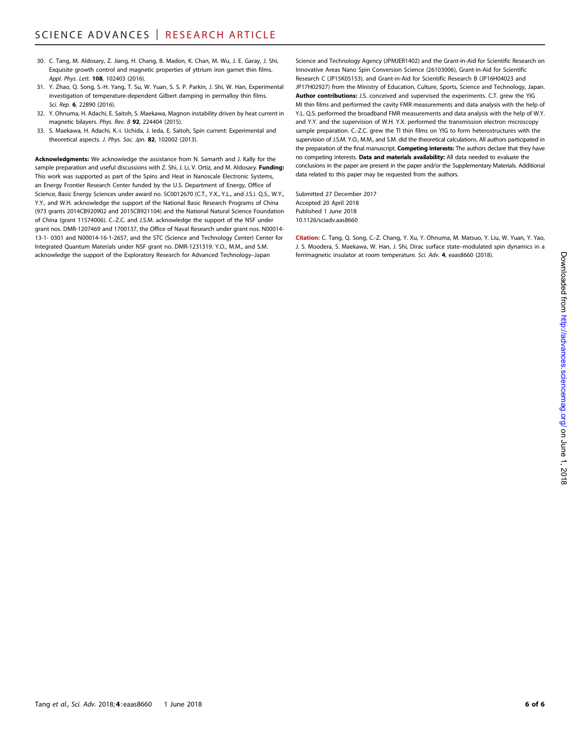- 30. C. Tang, M. Aldosary, Z. Jiang, H. Chang, B. Madon, K. Chan, M. Wu, J. E. Garay, J. Shi, Exquisite growth control and magnetic properties of yttrium iron garnet thin films. Appl. Phys. Lett. **108**, 102403 (2016).
- 31. Y. Zhao, Q. Song, S.-H. Yang, T. Su, W. Yuan, S. S. P. Parkin, J. Shi, W. Han, Experimental investigation of temperature-dependent Gilbert damping in permalloy thin films. Sci. Rep. 6, 22890 (2016).
- 32. Y. Ohnuma, H. Adachi, E. Saitoh, S. Maekawa, Magnon instability driven by heat current in magnetic bilayers. Phys. Rev. B 92, 224404 (2015).
- 33. S. Maekawa, H. Adachi, K.-i. Uchida, J. Ieda, E. Saitoh, Spin current: Experimental and theoretical aspects. J. Phys. Soc. Jpn. 82, 102002 (2013).

Acknowledgments: We acknowledge the assistance from N. Samarth and J. Kally for the sample preparation and useful discussions with Z. Shi, J. Li, V. Ortiz, and M. Aldosary. **Funding:** This work was supported as part of the Spins and Heat in Nanoscale Electronic Systems, an Energy Frontier Research Center funded by the U.S. Department of Energy, Office of Science, Basic Energy Sciences under award no. SC0012670 (C.T., Y.X., Y.L., and J.S.). Q.S., W.Y., Y.Y., and W.H. acknowledge the support of the National Basic Research Programs of China (973 grants 2014CB920902 and 2015CB921104) and the National Natural Science Foundation of China (grant 11574006). C.-Z.C. and J.S.M. acknowledge the support of the NSF under grant nos. DMR-1207469 and 1700137, the Office of Naval Research under grant nos. N00014- 13-1- 0301 and N00014-16-1-2657, and the STC (Science and Technology Center) Center for Integrated Quantum Materials under NSF grant no. DMR-1231319. Y.O., M.M., and S.M. acknowledge the support of the Exploratory Research for Advanced Technology–Japan

Science and Technology Agency (JPMJER1402) and the Grant-in-Aid for Scientific Research on Innovative Areas Nano Spin Conversion Science (26103006), Grant-in-Aid for Scientific Research C (JP15K05153), and Grant-in-Aid for Scientific Research B (JP16H04023 and JP17H02927) from the Ministry of Education, Culture, Sports, Science and Technology, Japan. Author contributions: J.S. conceived and supervised the experiments. C.T. grew the YIG MI thin films and performed the cavity FMR measurements and data analysis with the help of Y.L. Q.S. performed the broadband FMR measurements and data analysis with the help of W.Y. and Y.Y. and the supervision of W.H. Y.X. performed the transmission electron microscopy sample preparation. C.-Z.C. grew the TI thin films on YIG to form heterostructures with the supervision of J.S.M. Y.O., M.M., and S.M. did the theoretical calculations. All authors participated in the preparation of the final manuscript. Competing interests: The authors declare that they have no competing interests. Data and materials availability: All data needed to evaluate the conclusions in the paper are present in the paper and/or the Supplementary Materials. Additional data related to this paper may be requested from the authors.

Submitted 27 December 2017 Accepted 20 April 2018 Published 1 June 2018 10.1126/sciadv.aas8660

Citation: C. Tang, Q. Song, C.-Z. Chang, Y. Xu, Y. Ohnuma, M. Matsuo, Y. Liu, W. Yuan, Y. Yao, J. S. Moodera, S. Maekawa, W. Han, J. Shi, Dirac surface state–modulated spin dynamics in a ferrimagnetic insulator at room temperature. Sci. Adv. 4, eaas8660 (2018).